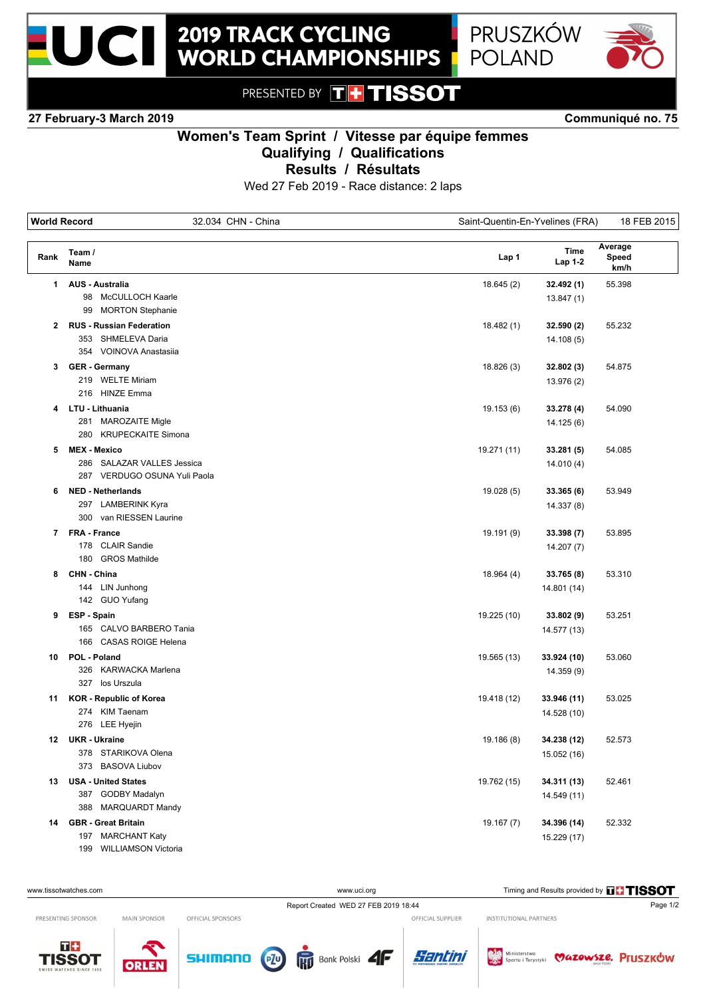



PRESENTED BY THTISSOT

### **27 February-3 March 2019 Communiqué no. 75**

# **Women's Team Sprint / Vitesse par équipe femmes**

**Qualifying / Qualifications**

**Results / Résultats**

Wed 27 Feb 2019 - Race distance: 2 laps

| <b>World Record</b><br>32.034 CHN - China |                                 | Saint-Quentin-En-Yvelines (FRA) |                 | 18 FEB 2015              |
|-------------------------------------------|---------------------------------|---------------------------------|-----------------|--------------------------|
| Rank                                      | Team /<br>Name                  | Lap 1                           | Time<br>Lap 1-2 | Average<br>Speed<br>km/h |
| 1                                         | <b>AUS - Australia</b>          | 18.645(2)                       | 32.492 (1)      | 55.398                   |
|                                           | 98 McCULLOCH Kaarle             |                                 | 13.847(1)       |                          |
|                                           | <b>MORTON Stephanie</b><br>99   |                                 |                 |                          |
| 2                                         | <b>RUS - Russian Federation</b> | 18.482 (1)                      | 32.590 (2)      | 55.232                   |
|                                           | 353 SHMELEVA Daria              |                                 | 14.108(5)       |                          |
|                                           | 354 VOINOVA Anastasija          |                                 |                 |                          |
|                                           | 3 GER - Germany                 | 18.826 (3)                      | 32.802 (3)      | 54.875                   |
|                                           | 219 WELTE Miriam                |                                 | 13.976 (2)      |                          |
|                                           | 216 HINZE Emma                  |                                 |                 |                          |
|                                           | 4 LTU - Lithuania               | 19.153 (6)                      | 33.278 (4)      | 54.090                   |
|                                           | 281 MAROZAITE Migle             |                                 | 14.125 (6)      |                          |
|                                           | 280 KRUPECKAITE Simona          |                                 |                 |                          |
| 5                                         | <b>MEX - Mexico</b>             | 19.271 (11)                     | 33.281 (5)      | 54.085                   |
|                                           | 286 SALAZAR VALLES Jessica      |                                 | 14.010(4)       |                          |
|                                           | 287 VERDUGO OSUNA Yuli Paola    |                                 |                 |                          |
| 6                                         | <b>NED - Netherlands</b>        | 19.028(5)                       | 33.365 (6)      | 53.949                   |
|                                           | 297 LAMBERINK Kyra              |                                 | 14.337 (8)      |                          |
|                                           | 300 van RIESSEN Laurine         |                                 |                 |                          |
|                                           | 7 FRA - France                  | 19.191 (9)                      | 33.398 (7)      | 53.895                   |
|                                           | 178 CLAIR Sandie                |                                 | 14.207(7)       |                          |
|                                           | 180 GROS Mathilde               |                                 |                 |                          |
| 8                                         | CHN - China                     | 18.964(4)                       | 33.765 (8)      | 53.310                   |
|                                           | 144 LIN Junhong                 |                                 | 14.801 (14)     |                          |
|                                           | 142 GUO Yufang                  |                                 |                 |                          |
| 9                                         | ESP - Spain                     | 19.225 (10)                     | 33.802 (9)      | 53.251                   |
|                                           | 165 CALVO BARBERO Tania         |                                 | 14.577 (13)     |                          |
|                                           | 166 CASAS ROIGE Helena          |                                 |                 |                          |
| 10                                        | POL - Poland                    | 19.565 (13)                     | 33.924 (10)     | 53.060                   |
|                                           | 326 KARWACKA Marlena            |                                 | 14.359 (9)      |                          |
|                                           | 327 los Urszula                 |                                 |                 |                          |
| 11                                        | <b>KOR - Republic of Korea</b>  | 19.418 (12)                     | 33.946 (11)     | 53.025                   |
|                                           | 274 KIM Taenam                  |                                 | 14.528 (10)     |                          |
|                                           | 276 LEE Hyejin                  |                                 |                 |                          |
|                                           | 12 UKR - Ukraine                | 19.186 (8)                      | 34.238 (12)     | 52.573                   |
|                                           | 378 STARIKOVA Olena             |                                 | 15.052 (16)     |                          |
|                                           | <b>BASOVA Liubov</b><br>373     |                                 |                 |                          |
| 13                                        | <b>USA - United States</b>      | 19.762 (15)                     | 34.311 (13)     | 52.461                   |
|                                           | <b>GODBY Madalyn</b><br>387     |                                 | 14.549 (11)     |                          |
|                                           | 388<br>MARQUARDT Mandy          |                                 |                 |                          |
| 14                                        | <b>GBR</b> - Great Britain      | 19.167 (7)                      | 34.396 (14)     | 52.332                   |
|                                           | 197 MARCHANT Katy               |                                 | 15.229 (17)     |                          |
|                                           | 199 WILLIAMSON Victoria         |                                 |                 |                          |

#### Report Created WED 27 FEB 2019 18:44 www.uci.org Timing and Results provided by **THSSOT**

PRESENTING SPONSOR

MAIN SPONSOR

OFFICIAL SPONSORS

工事 **TISSOT** 









OFFICIAL SUPPLIER



INSTITUTIONAL PARTNERS